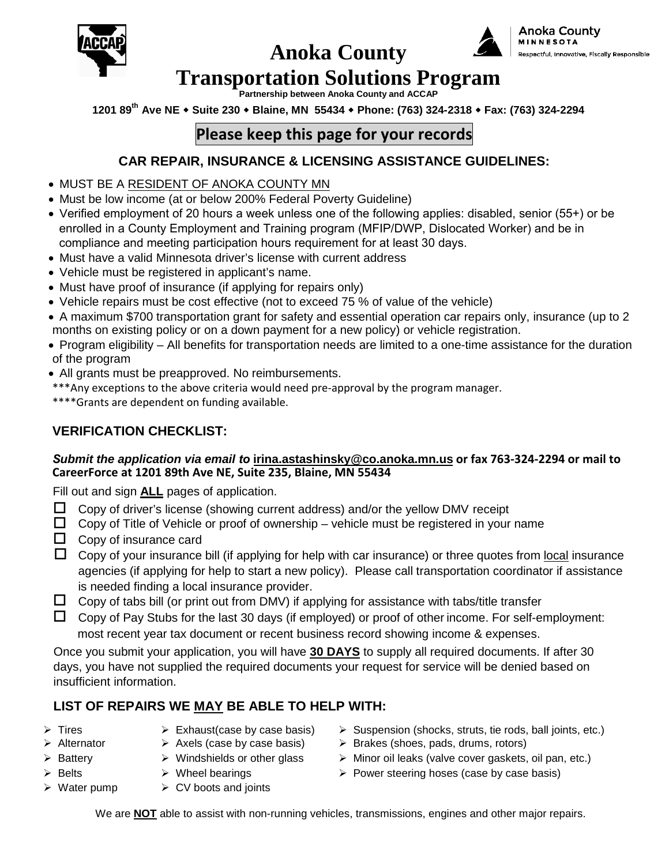

# **Anoka County**



# .<br>Respectful, Innovative, Fiscally Responsible

### **Transportation Solutions Program**

**Partnership between Anoka County and ACCAP**

**1201 89th Ave NE Suite 230 Blaine, MN 55434 Phone: (763) 324-2318 Fax: (763) 324-2294**

### **Please keep this page for your records**

#### **CAR REPAIR, INSURANCE & LICENSING ASSISTANCE GUIDELINES:**

- MUST BE A RESIDENT OF ANOKA COUNTY MN
- Must be low income (at or below 200% Federal Poverty Guideline)
- Verified employment of 20 hours a week unless one of the following applies: disabled, senior (55+) or be enrolled in a County Employment and Training program (MFIP/DWP, Dislocated Worker) and be in compliance and meeting participation hours requirement for at least 30 days.
- Must have a valid Minnesota driver's license with current address
- Vehicle must be registered in applicant's name.
- Must have proof of insurance (if applying for repairs only)
- Vehicle repairs must be cost effective (not to exceed 75 % of value of the vehicle)
- A maximum \$700 transportation grant for safety and essential operation car repairs only, insurance (up to 2 months on existing policy or on a down payment for a new policy) or vehicle registration.
- Program eligibility All benefits for transportation needs are limited to a one-time assistance for the duration of the program
- All grants must be preapproved. No reimbursements.
- \*\*\*Any exceptions to the above criteria would need pre-approval by the program manager.
- \*\*\*\*Grants are dependent on funding available.

#### **VERIFICATION CHECKLIST:**

#### *Submit the application via email to* **irina.astashinsky@co.anoka.mn.us [or fax 763-324-2294](mailto:irina.astashinsky@co.anoka.mn.us) or mail to CareerForce at 1201 89th Ave NE, Suite 235, Blaine, MN 55434**

Fill out and sign **ALL** pages of application.

- $\Box$  Copy of driver's license (showing current address) and/or the yellow DMV receipt
- $\Box$  Copy of Title of Vehicle or proof of ownership vehicle must be registered in your name
- $\Box$  Copy of insurance card
- $\Box$  Copy of your insurance bill (if applying for help with car insurance) or three quotes from local insurance agencies (if applying for help to start a new policy). Please call transportation coordinator if assistance is needed finding a local insurance provider.
- $\Box$  Copy of tabs bill (or print out from DMV) if applying for assistance with tabs/title transfer
- $\Box$  Copy of Pay Stubs for the last 30 days (if employed) or proof of other income. For self-employment: most recent year tax document or recent business record showing income & expenses.

Once you submit your application, you will have **30 DAYS** to supply all required documents. If after 30 days, you have not supplied the required documents your request for service will be denied based on insufficient information.

#### **LIST OF REPAIRS WE MAY BE ABLE TO HELP WITH:**

- 
- -
	-
- 
- $\triangleright$  Water pump  $\triangleright$  CV boots and joints
- Fires Exhaust(case by case basis)  $\rightarrow$  Suspension (shocks, struts, tie rods, ball joints, etc.)
- Alternator  $\rightarrow$  Axels (case by case basis)  $\rightarrow$  Brakes (shoes, pads, drums, rotors)
- $\triangleright$  Battery  $\triangleright$  Windshields or other glass  $\triangleright$  Minor oil leaks (valve cover gaskets, oil pan, etc.)
- Eelts  $\triangleright$  Wheel bearings  $\triangleright$  Power steering hoses (case by case basis)

We are **NOT** able to assist with non-running vehicles, transmissions, engines and other major repairs.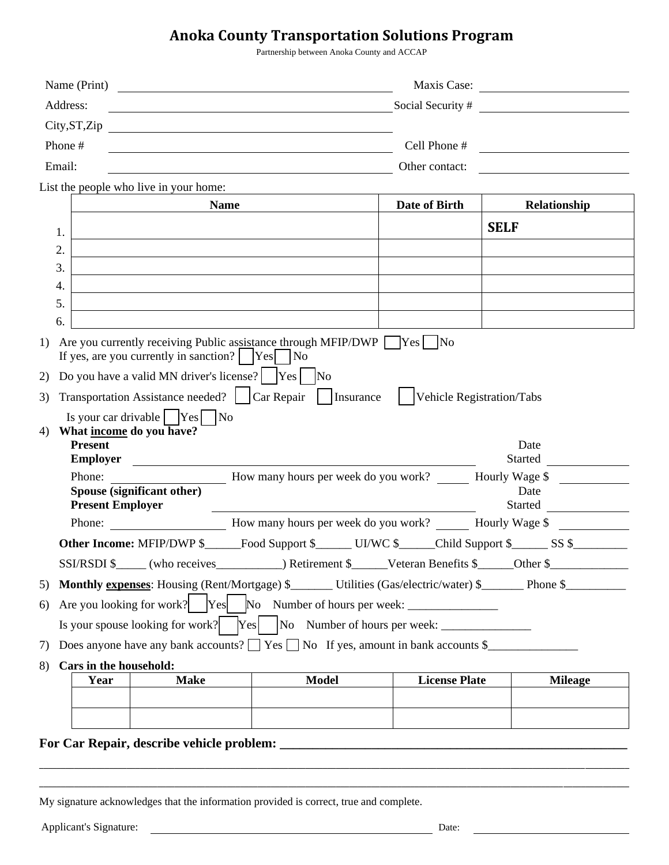#### **Anoka County Transportation Solutions Program**

Partnership between Anoka County and ACCAP

| Name (Print)                                                                                                                                                                                                                                                                                                                                                                                                                                                                                                                                                                                                                                                                                                                                                                                        |                                                                                                                      |                      | Maxis Case:                                               |
|-----------------------------------------------------------------------------------------------------------------------------------------------------------------------------------------------------------------------------------------------------------------------------------------------------------------------------------------------------------------------------------------------------------------------------------------------------------------------------------------------------------------------------------------------------------------------------------------------------------------------------------------------------------------------------------------------------------------------------------------------------------------------------------------------------|----------------------------------------------------------------------------------------------------------------------|----------------------|-----------------------------------------------------------|
| Address:                                                                                                                                                                                                                                                                                                                                                                                                                                                                                                                                                                                                                                                                                                                                                                                            | <u> 1980 - Johann Barbara, martin amerikan basar dan berasal dalam basa dalam basar dalam basar dalam basar dala</u> |                      | Social Security #                                         |
| City, ST, Zip                                                                                                                                                                                                                                                                                                                                                                                                                                                                                                                                                                                                                                                                                                                                                                                       | <u> 1989 - Johann Barbara, martxa alemaniar amerikan a</u>                                                           |                      |                                                           |
| Phone #                                                                                                                                                                                                                                                                                                                                                                                                                                                                                                                                                                                                                                                                                                                                                                                             |                                                                                                                      | Cell Phone #         | <u> 1989 - Andrea Station Books, amerikansk politik (</u> |
| Email:                                                                                                                                                                                                                                                                                                                                                                                                                                                                                                                                                                                                                                                                                                                                                                                              |                                                                                                                      | Other contact:       |                                                           |
| List the people who live in your home:                                                                                                                                                                                                                                                                                                                                                                                                                                                                                                                                                                                                                                                                                                                                                              |                                                                                                                      |                      |                                                           |
| <b>Name</b>                                                                                                                                                                                                                                                                                                                                                                                                                                                                                                                                                                                                                                                                                                                                                                                         |                                                                                                                      | Date of Birth        | Relationship                                              |
|                                                                                                                                                                                                                                                                                                                                                                                                                                                                                                                                                                                                                                                                                                                                                                                                     |                                                                                                                      |                      | <b>SELF</b>                                               |
| 1.<br>2.                                                                                                                                                                                                                                                                                                                                                                                                                                                                                                                                                                                                                                                                                                                                                                                            |                                                                                                                      |                      |                                                           |
| 3.                                                                                                                                                                                                                                                                                                                                                                                                                                                                                                                                                                                                                                                                                                                                                                                                  |                                                                                                                      |                      |                                                           |
| 4.                                                                                                                                                                                                                                                                                                                                                                                                                                                                                                                                                                                                                                                                                                                                                                                                  |                                                                                                                      |                      |                                                           |
| 5.                                                                                                                                                                                                                                                                                                                                                                                                                                                                                                                                                                                                                                                                                                                                                                                                  |                                                                                                                      |                      |                                                           |
| 6.                                                                                                                                                                                                                                                                                                                                                                                                                                                                                                                                                                                                                                                                                                                                                                                                  |                                                                                                                      |                      |                                                           |
| Are you currently receiving Public assistance through MFIP/DWP $\Box$ Yes $\Box$ No<br>1)<br>If yes, are you currently in sanction? $ $ $ Yes $ $ No$<br>2)<br>Transportation Assistance needed?     Car Repair       Insurance         Vehicle Registration/Tabs<br>3)<br>Is your car drivable $\sqrt{\text{Yes}}$ No<br>What income do you have?<br>4)<br><b>Present</b><br>Employer<br>How many hours per week do you work? Hourly Wage \$<br>Phone:<br>Spouse (significant other)<br><b>Present Employer</b><br>Phone: How many hours per week do you work? Hourly Wage \$<br>Other Income: MFIP/DWP \$_____Food Support \$______ UI/WC \$_____Child Support \$______ SS \$________<br>SSI/RSDI \$_____ (who receives____________) Retirement \$_____Veteran Benefits \$_____Other \$__________ |                                                                                                                      |                      | Date<br>Started<br>Date<br>Started                        |
| Monthly expenses: Housing (Rent/Mortgage) \$______ Utilities (Gas/electric/water) \$_____ Phone \$_______<br>5)                                                                                                                                                                                                                                                                                                                                                                                                                                                                                                                                                                                                                                                                                     |                                                                                                                      |                      |                                                           |
| Are you looking for work?<br>6)                                                                                                                                                                                                                                                                                                                                                                                                                                                                                                                                                                                                                                                                                                                                                                     |                                                                                                                      |                      |                                                           |
|                                                                                                                                                                                                                                                                                                                                                                                                                                                                                                                                                                                                                                                                                                                                                                                                     |                                                                                                                      |                      |                                                           |
| Does anyone have any bank accounts? $\Box$ Yes $\Box$ No If yes, amount in bank accounts \$<br>7)                                                                                                                                                                                                                                                                                                                                                                                                                                                                                                                                                                                                                                                                                                   |                                                                                                                      |                      |                                                           |
| Cars in the household:                                                                                                                                                                                                                                                                                                                                                                                                                                                                                                                                                                                                                                                                                                                                                                              |                                                                                                                      |                      |                                                           |
| 8)<br><b>Make</b><br>Year                                                                                                                                                                                                                                                                                                                                                                                                                                                                                                                                                                                                                                                                                                                                                                           | <b>Model</b>                                                                                                         | <b>License Plate</b> | <b>Mileage</b>                                            |
|                                                                                                                                                                                                                                                                                                                                                                                                                                                                                                                                                                                                                                                                                                                                                                                                     |                                                                                                                      |                      |                                                           |
|                                                                                                                                                                                                                                                                                                                                                                                                                                                                                                                                                                                                                                                                                                                                                                                                     |                                                                                                                      |                      |                                                           |
|                                                                                                                                                                                                                                                                                                                                                                                                                                                                                                                                                                                                                                                                                                                                                                                                     |                                                                                                                      |                      |                                                           |

**\_\_\_\_\_\_\_\_\_\_\_\_\_\_\_\_\_\_\_\_\_\_\_\_\_\_\_\_\_\_\_\_\_\_\_\_\_\_\_\_\_\_\_\_\_\_\_\_\_\_\_\_\_\_\_\_\_\_\_\_\_\_\_\_\_\_\_\_\_\_\_\_\_\_\_\_\_\_\_\_\_\_\_\_\_\_\_\_\_\_\_\_\_\_\_\_\_\_\_\_\_\_\_\_\_\_\_\_\_\_\_\_\_\_\_\_\_\_\_\_\_\_\_\_\_\_\_\_\_\_\_\_\_\_\_**

My signature acknowledges that the information provided is correct, true and complete.

Applicant's Signature: Date: Date: Date: Date: Date: Date: Date: Date: Date: Date: Date: Date: Date: Date: Date: Date: Date: Date: Date: Date: Date: Date: Date: Date: Date: Date: Date: Date: Date: Date: Date: Date: Date: D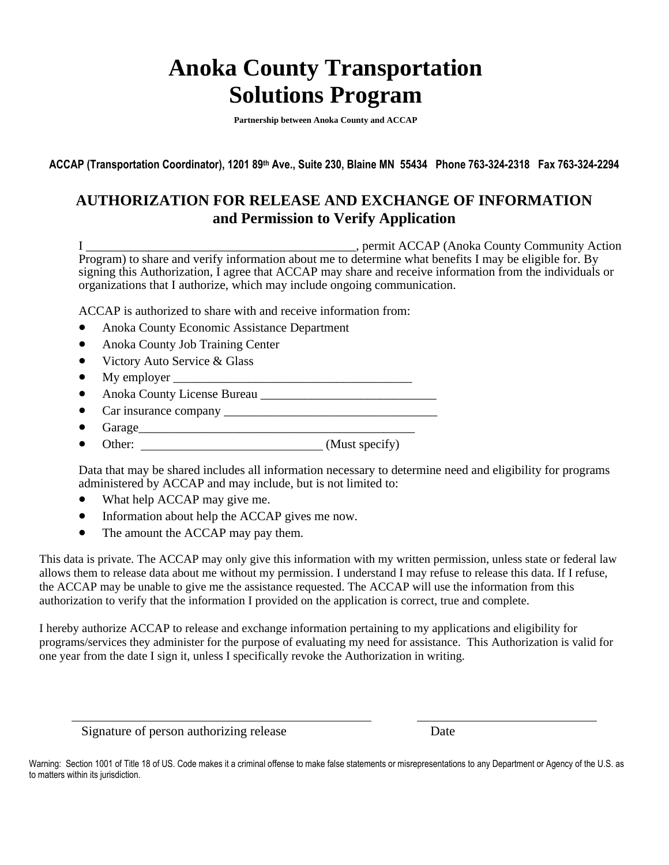## **Anoka County Transportation Solutions Program**

**Partnership between Anoka County and ACCAP** 

**ACCAP (Transportation Coordinator), 1201 89th Ave., Suite 230, Blaine MN 55434 Phone 763-324-2318 Fax 763-324-2294**

#### **AUTHORIZATION FOR RELEASE AND EXCHANGE OF INFORMATION and Permission to Verify Application**

I \_\_\_\_\_\_\_\_\_\_\_\_\_\_\_\_\_\_\_\_\_\_\_\_\_\_\_\_\_\_\_\_\_\_\_\_\_\_\_\_\_\_\_, permit ACCAP (Anoka County Community Action Program) to share and verify information about me to determine what benefits I may be eligible for. By signing this Authorization, I agree that ACCAP may share and receive information from the individuals or organizations that I authorize, which may include ongoing communication.

ACCAP is authorized to share with and receive information from:

- Anoka County Economic Assistance Department
- Anoka County Job Training Center
- Victory Auto Service & Glass
- My employer  $\_$
- Anoka County License Bureau \_\_\_\_\_\_\_\_\_\_\_\_\_\_\_\_\_\_\_\_\_\_\_\_\_\_\_\_
- Car insurance company \_\_\_\_\_\_\_\_\_\_\_\_\_\_\_\_\_\_\_\_\_\_\_\_\_\_\_\_\_\_\_\_\_\_
- Garage\_\_\_\_\_\_\_\_\_\_\_\_\_\_\_\_\_\_\_\_\_\_\_\_\_\_\_\_\_\_\_\_\_\_\_\_\_\_\_\_\_\_\_\_
- Other: (Must specify)

Data that may be shared includes all information necessary to determine need and eligibility for programs administered by ACCAP and may include, but is not limited to:

- What help ACCAP may give me.
- Information about help the ACCAP gives me now.
- The amount the ACCAP may pay them.

This data is private. The ACCAP may only give this information with my written permission, unless state or federal law allows them to release data about me without my permission. I understand I may refuse to release this data. If I refuse, the ACCAP may be unable to give me the assistance requested. The ACCAP will use the information from this authorization to verify that the information I provided on the application is correct, true and complete.

I hereby authorize ACCAP to release and exchange information pertaining to my applications and eligibility for programs/services they administer for the purpose of evaluating my need for assistance. This Authorization is valid for one year from the date I sign it, unless I specifically revoke the Authorization in writing.

Signature of person authorizing release Date

Warning: Section 1001 of Title 18 of US. Code makes it a criminal offense to make false statements or misrepresentations to any Department or Agency of the U.S. as to matters within its jurisdiction.